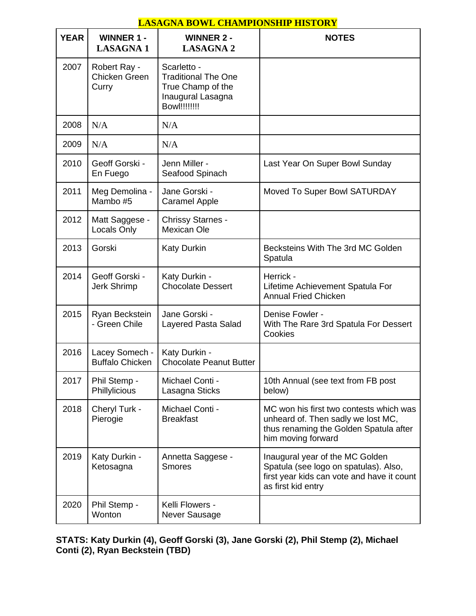## **LASAGNA BOWL CHAMPIONSHIP HISTORY**

| <b>YEAR</b> | <b>WINNER 1 -</b><br><b>LASAGNA1</b>     | <b>WINNER 2 -</b><br><b>LASAGNA 2</b>                                                                       | <b>NOTES</b>                                                                                                                                  |
|-------------|------------------------------------------|-------------------------------------------------------------------------------------------------------------|-----------------------------------------------------------------------------------------------------------------------------------------------|
| 2007        | Robert Ray -<br>Chicken Green<br>Curry   | Scarletto -<br><b>Traditional The One</b><br>True Champ of the<br>Inaugural Lasagna<br><b>Bowl!!!!!!!!!</b> |                                                                                                                                               |
| 2008        | N/A                                      | N/A                                                                                                         |                                                                                                                                               |
| 2009        | N/A                                      | N/A                                                                                                         |                                                                                                                                               |
| 2010        | Geoff Gorski -<br>En Fuego               | Jenn Miller -<br>Seafood Spinach                                                                            | Last Year On Super Bowl Sunday                                                                                                                |
| 2011        | Meg Demolina -<br>Mambo #5               | Jane Gorski -<br><b>Caramel Apple</b>                                                                       | <b>Moved To Super Bowl SATURDAY</b>                                                                                                           |
| 2012        | Matt Saggese -<br>Locals Only            | <b>Chrissy Starnes -</b><br><b>Mexican Ole</b>                                                              |                                                                                                                                               |
| 2013        | Gorski                                   | <b>Katy Durkin</b>                                                                                          | Becksteins With The 3rd MC Golden<br>Spatula                                                                                                  |
| 2014        | Geoff Gorski -<br>Jerk Shrimp            | Katy Durkin -<br><b>Chocolate Dessert</b>                                                                   | Herrick -<br>Lifetime Achievement Spatula For<br><b>Annual Fried Chicken</b>                                                                  |
| 2015        | Ryan Beckstein<br>- Green Chile          | Jane Gorski -<br>Layered Pasta Salad                                                                        | Denise Fowler -<br>With The Rare 3rd Spatula For Dessert<br>Cookies                                                                           |
| 2016        | Lacey Somech -<br><b>Buffalo Chicken</b> | Katy Durkin -<br><b>Chocolate Peanut Butter</b>                                                             |                                                                                                                                               |
| 2017        | Phil Stemp -<br>Phillylicious            | Michael Conti -<br>Lasagna Sticks                                                                           | 10th Annual (see text from FB post<br>below)                                                                                                  |
| 2018        | Cheryl Turk -<br>Pierogie                | Michael Conti -<br><b>Breakfast</b>                                                                         | MC won his first two contests which was<br>unheard of. Then sadly we lost MC,<br>thus renaming the Golden Spatula after<br>him moving forward |
| 2019        | Katy Durkin -<br>Ketosagna               | Annetta Saggese -<br><b>Smores</b>                                                                          | Inaugural year of the MC Golden<br>Spatula (see logo on spatulas). Also,<br>first year kids can vote and have it count<br>as first kid entry  |
| 2020        | Phil Stemp -<br>Wonton                   | Kelli Flowers -<br>Never Sausage                                                                            |                                                                                                                                               |

**STATS: Katy Durkin (4), Geoff Gorski (3), Jane Gorski (2), Phil Stemp (2), Michael Conti (2), Ryan Beckstein (TBD)**